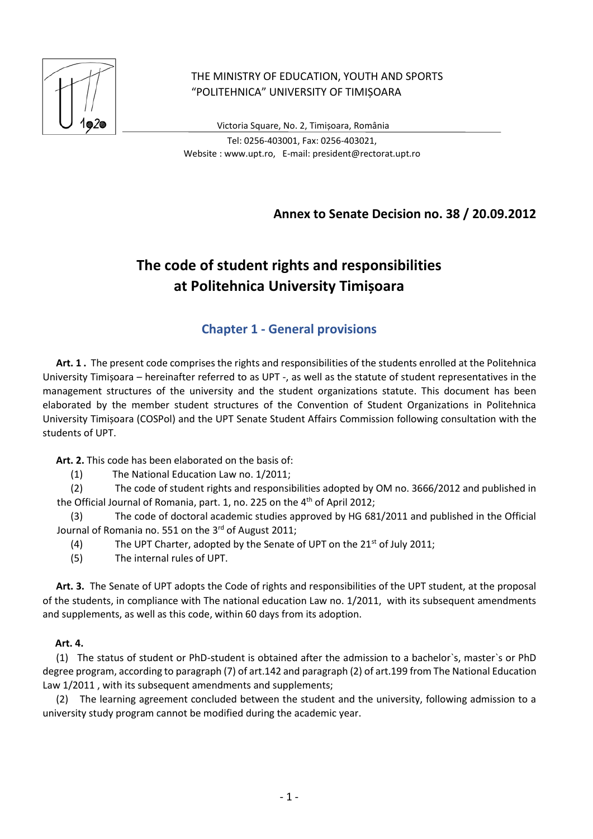

# THE MINISTRY OF EDUCATION, YOUTH AND SPORTS "POLITEHNICA" UNIVERSITY OF TIMIȘOARA

 Victoria Square, No. 2, Timișoara, România Tel: 0256‐403001, Fax: 0256‐403021, Website : www.upt.ro, E‐mail: president@rectorat.upt.ro

 **Annex to Senate Decision no. 38 / 20.09.2012**

# **The code of student rights and responsibilities at Politehnica University Timișoara**

# **Chapter 1 - General provisions**

**Art. 1 .** The present code comprises the rights and responsibilities of the students enrolled at the Politehnica University Timișoara – hereinafter referred to as UPT -, as well as the statute of student representatives in the management structures of the university and the student organizations statute. This document has been elaborated by the member student structures of the Convention of Student Organizations in Politehnica University Timișoara (COSPol) and the UPT Senate Student Affairs Commission following consultation with the students of UPT.

Art. 2. This code has been elaborated on the basis of:

(1) The National Education Law no. 1/2011;

(2) The code of student rights and responsibilities adopted by OM no. 3666/2012 and published in the Official Journal of Romania, part. 1, no. 225 on the 4<sup>th</sup> of April 2012;

(3) The code of doctoral academic studies approved by HG 681/2011 and published in the Official Journal of Romania no. 551 on the 3rd of August 2011;

- (4) The UPT Charter, adopted by the Senate of UPT on the 21<sup>st</sup> of July 2011;
- (5) The internal rules of UPT.

**Art. 3.** The Senate of UPT adopts the Code of rights and responsibilities of the UPT student, at the proposal of the students, in compliance with The national education Law no. 1/2011, with its subsequent amendments and supplements, as well as this code, within 60 days from its adoption.

### **Art. 4.**

(1) The status of student or PhD-student is obtained after the admission to a bachelor`s, master`s or PhD degree program, according to paragraph (7) of art.142 and paragraph (2) of art.199 from The National Education Law 1/2011 , with its subsequent amendments and supplements;

(2) The learning agreement concluded between the student and the university, following admission to a university study program cannot be modified during the academic year.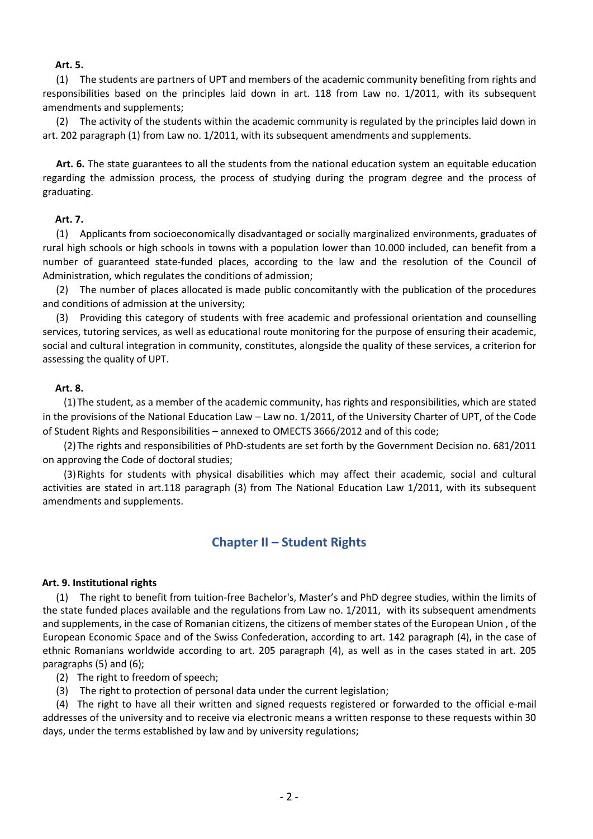### **Art. 5.**

(1) The students are partners of UPT and members of the academic community benefiting from rights and responsibilities based on the principles laid down in art. 118 from Law no. 1/2011, with its subsequent amendments and supplements;

(2) The activity of the students within the academic community is regulated by the principles laid down in art. 202 paragraph (1) from Law no. 1/2011, with its subsequent amendments and supplements.

**Art. 6.** The state guarantees to all the students from the national education system an equitable education regarding the admission process, the process of studying during the program degree and the process of graduating.

### **Art. 7.**

(1) Applicants from socioeconomically disadvantaged or socially marginalized environments, graduates of rural high schools or high schools in towns with a population lower than 10.000 included, can benefit from a number of guaranteed state-funded places, according to the law and the resolution of the Council of Administration, which regulates the conditions of admission;

(2) The number of places allocated is made public concomitantly with the publication of the procedures and conditions of admission at the university;

(3) Providing this category of students with free academic and professional orientation and counselling services, tutoring services, as well as educational route monitoring for the purpose of ensuring their academic, social and cultural integration in community, constitutes, alongside the quality of these services, a criterion for assessing the quality of UPT.

### **Art. 8.**

(1)The student, as a member of the academic community, has rights and responsibilities, which are stated in the provisions of the National Education Law – Law no. 1/2011, of the University Charter of UPT, of the Code of Student Rights and Responsibilities – annexed to OMECTS 3666/2012 and of this code;

(2)The rights and responsibilities of PhD-students are set forth by the Government Decision no. 681/2011 on approving the Code of doctoral studies;

(3)Rights for students with physical disabilities which may affect their academic, social and cultural activities are stated in art.118 paragraph (3) from The National Education Law 1/2011, with its subsequent amendments and supplements.

### **Chapter II – Student Rights**

#### **Art. 9. Institutional rights**

(1) The right to benefit from tuition-free Bachelor's, Master's and PhD degree studies, within the limits of the state funded places available and the regulations from Law no. 1/2011, with its subsequent amendments and supplements, in the case of Romanian citizens, the citizens of member states of the European Union , of the European Economic Space and of the Swiss Confederation, according to art. 142 paragraph (4), in the case of ethnic Romanians worldwide according to art. 205 paragraph (4), as well as in the cases stated in art. 205 paragraphs (5) and (6);

- (2) The right to freedom of speech;
- (3) The right to protection of personal data under the current legislation;

(4) The right to have all their written and signed requests registered or forwarded to the official e-mail addresses of the university and to receive via electronic means a written response to these requests within 30 days, under the terms established by law and by university regulations;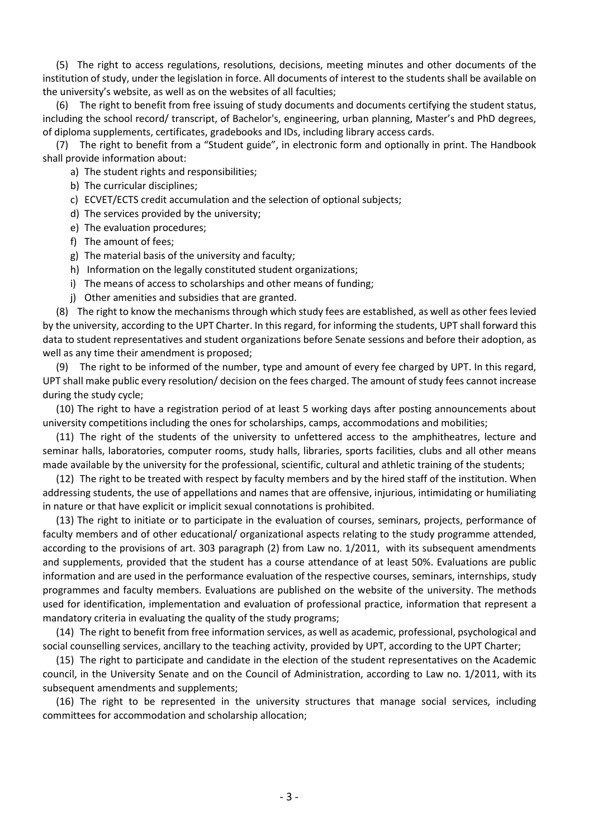(5) The right to access regulations, resolutions, decisions, meeting minutes and other documents of the institution of study, under the legislation in force. All documents of interest to the students shall be available on the university's website, as well as on the websites of all faculties;

(6) The right to benefit from free issuing of study documents and documents certifying the student status, including the school record/ transcript, of Bachelor's, engineering, urban planning, Master's and PhD degrees, of diploma supplements, certificates, gradebooks and IDs, including library access cards.

(7) The right to benefit from a "Student guide", in electronic form and optionally in print. The Handbook shall provide information about:

a) The student rights and responsibilities;

- b) The curricular disciplines;
- c) ECVET/ECTS credit accumulation and the selection of optional subjects;
- d) The services provided by the university;
- e) The evaluation procedures;
- f) The amount of fees;
- g) The material basis of the university and faculty;
- h) Information on the legally constituted student organizations;
- i) The means of access to scholarships and other means of funding;
- j) Other amenities and subsidies that are granted.

(8) The right to know the mechanisms through which study fees are established, as well as other fees levied by the university, according to the UPT Charter. In this regard, for informing the students, UPT shall forward this data to student representatives and student organizations before Senate sessions and before their adoption, as well as any time their amendment is proposed;

(9) The right to be informed of the number, type and amount of every fee charged by UPT. In this regard, UPT shall make public every resolution/ decision on the fees charged. The amount of study fees cannot increase during the study cycle;

(10) The right to have a registration period of at least 5 working days after posting announcements about university competitions including the ones for scholarships, camps, accommodations and mobilities;

(11) The right of the students of the university to unfettered access to the amphitheatres, lecture and seminar halls, laboratories, computer rooms, study halls, libraries, sports facilities, clubs and all other means made available by the university for the professional, scientific, cultural and athletic training of the students;

(12) The right to be treated with respect by faculty members and by the hired staff of the institution. When addressing students, the use of appellations and names that are offensive, injurious, intimidating or humiliating in nature or that have explicit or implicit sexual connotations is prohibited.

(13) The right to initiate or to participate in the evaluation of courses, seminars, projects, performance of faculty members and of other educational/ organizational aspects relating to the study programme attended, according to the provisions of art. 303 paragraph (2) from Law no. 1/2011, with its subsequent amendments and supplements, provided that the student has a course attendance of at least 50%. Evaluations are public information and are used in the performance evaluation of the respective courses, seminars, internships, study programmes and faculty members. Evaluations are published on the website of the university. The methods used for identification, implementation and evaluation of professional practice, information that represent a mandatory criteria in evaluating the quality of the study programs;

(14) The right to benefit from free information services, as well as academic, professional, psychological and social counselling services, ancillary to the teaching activity, provided by UPT, according to the UPT Charter;

(15) The right to participate and candidate in the election of the student representatives on the Academic council, in the University Senate and on the Council of Administration, according to Law no. 1/2011, with its subsequent amendments and supplements;

(16) The right to be represented in the university structures that manage social services, including committees for accommodation and scholarship allocation;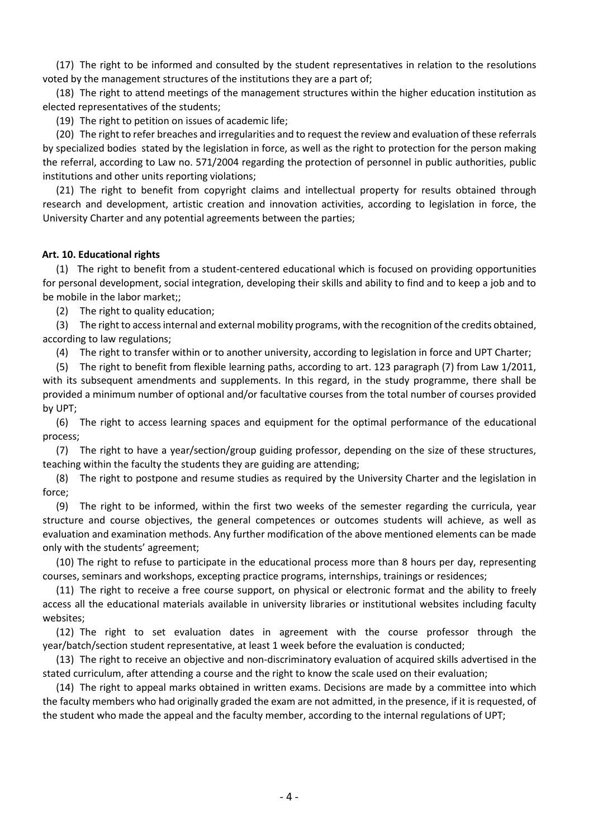(17) The right to be informed and consulted by the student representatives in relation to the resolutions voted by the management structures of the institutions they are a part of;

(18) The right to attend meetings of the management structures within the higher education institution as elected representatives of the students;

(19) The right to petition on issues of academic life;

(20) The right to refer breaches and irregularities and to request the review and evaluation of these referrals by specialized bodies stated by the legislation in force, as well as the right to protection for the person making the referral, according to Law no. 571/2004 regarding the protection of personnel in public authorities, public institutions and other units reporting violations;

(21) The right to benefit from copyright claims and intellectual property for results obtained through research and development, artistic creation and innovation activities, according to legislation in force, the University Charter and any potential agreements between the parties;

#### **Art. 10. Educational rights**

(1) The right to benefit from a student-centered educational which is focused on providing opportunities for personal development, social integration, developing their skills and ability to find and to keep a job and to be mobile in the labor market;;

(2) The right to quality education;

(3) The right to access internal and external mobility programs, with the recognition of the credits obtained, according to law regulations;

(4) The right to transfer within or to another university, according to legislation in force and UPT Charter;

(5) The right to benefit from flexible learning paths, according to art. 123 paragraph (7) from Law 1/2011, with its subsequent amendments and supplements. In this regard, in the study programme, there shall be provided a minimum number of optional and/or facultative courses from the total number of courses provided by UPT;

(6) The right to access learning spaces and equipment for the optimal performance of the educational process;

(7) The right to have a year/section/group guiding professor, depending on the size of these structures, teaching within the faculty the students they are guiding are attending;

(8) The right to postpone and resume studies as required by the University Charter and the legislation in force;

(9) The right to be informed, within the first two weeks of the semester regarding the curricula, year structure and course objectives, the general competences or outcomes students will achieve, as well as evaluation and examination methods. Any further modification of the above mentioned elements can be made only with the students' agreement;

(10) The right to refuse to participate in the educational process more than 8 hours per day, representing courses, seminars and workshops, excepting practice programs, internships, trainings or residences;

(11) The right to receive a free course support, on physical or electronic format and the ability to freely access all the educational materials available in university libraries or institutional websites including faculty websites;

(12) The right to set evaluation dates in agreement with the course professor through the year/batch/section student representative, at least 1 week before the evaluation is conducted;

(13) The right to receive an objective and non-discriminatory evaluation of acquired skills advertised in the stated curriculum, after attending a course and the right to know the scale used on their evaluation;

(14) The right to appeal marks obtained in written exams. Decisions are made by a committee into which the faculty members who had originally graded the exam are not admitted, in the presence, if it is requested, of the student who made the appeal and the faculty member, according to the internal regulations of UPT;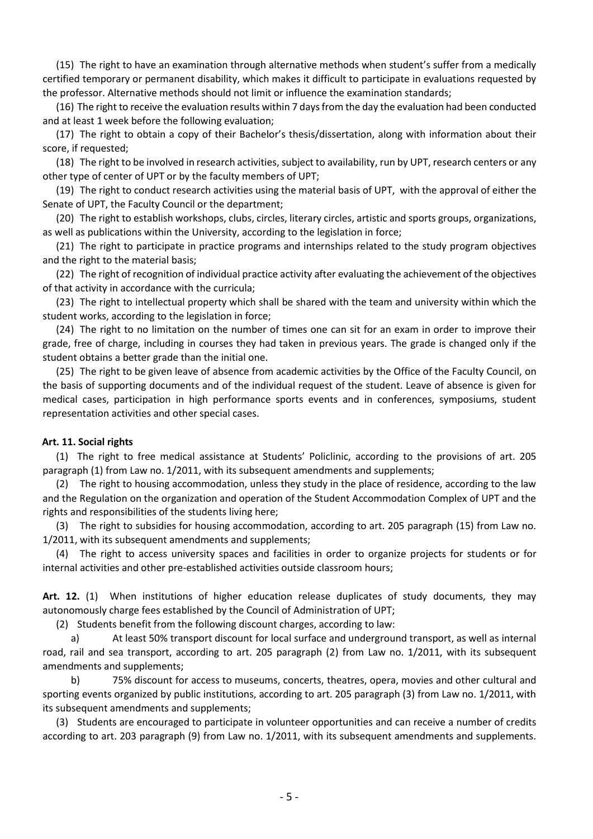(15) The right to have an examination through alternative methods when student's suffer from a medically certified temporary or permanent disability, which makes it difficult to participate in evaluations requested by the professor. Alternative methods should not limit or influence the examination standards;

(16) The right to receive the evaluation results within 7 days from the day the evaluation had been conducted and at least 1 week before the following evaluation;

(17) The right to obtain a copy of their Bachelor's thesis/dissertation, along with information about their score, if requested;

(18) The right to be involved in research activities, subject to availability, run by UPT, research centers or any other type of center of UPT or by the faculty members of UPT;

(19) The right to conduct research activities using the material basis of UPT, with the approval of either the Senate of UPT, the Faculty Council or the department;

(20) The right to establish workshops, clubs, circles, literary circles, artistic and sports groups, organizations, as well as publications within the University, according to the legislation in force;

(21) The right to participate in practice programs and internships related to the study program objectives and the right to the material basis;

(22) The right of recognition of individual practice activity after evaluating the achievement of the objectives of that activity in accordance with the curricula;

(23) The right to intellectual property which shall be shared with the team and university within which the student works, according to the legislation in force;

(24) The right to no limitation on the number of times one can sit for an exam in order to improve their grade, free of charge, including in courses they had taken in previous years. The grade is changed only if the student obtains a better grade than the initial one.

(25) The right to be given leave of absence from academic activities by the Office of the Faculty Council, on the basis of supporting documents and of the individual request of the student. Leave of absence is given for medical cases, participation in high performance sports events and in conferences, symposiums, student representation activities and other special cases.

#### **Art. 11. Social rights**

(1) The right to free medical assistance at Students' Policlinic, according to the provisions of art. 205 paragraph (1) from Law no. 1/2011, with its subsequent amendments and supplements;

(2) The right to housing accommodation, unless they study in the place of residence, according to the law and the Regulation on the organization and operation of the Student Accommodation Complex of UPT and the rights and responsibilities of the students living here;

(3) The right to subsidies for housing accommodation, according to art. 205 paragraph (15) from Law no. 1/2011, with its subsequent amendments and supplements;

(4) The right to access university spaces and facilities in order to organize projects for students or for internal activities and other pre-established activities outside classroom hours;

Art. 12. (1) When institutions of higher education release duplicates of study documents, they may autonomously charge fees established by the Council of Administration of UPT;

(2) Students benefit from the following discount charges, according to law:

a) At least 50% transport discount for local surface and underground transport, as well as internal road, rail and sea transport, according to art. 205 paragraph (2) from Law no. 1/2011, with its subsequent amendments and supplements;

b) 75% discount for access to museums, concerts, theatres, opera, movies and other cultural and sporting events organized by public institutions, according to art. 205 paragraph (3) from Law no. 1/2011, with its subsequent amendments and supplements;

(3) Students are encouraged to participate in volunteer opportunities and can receive a number of credits according to art. 203 paragraph (9) from Law no. 1/2011, with its subsequent amendments and supplements.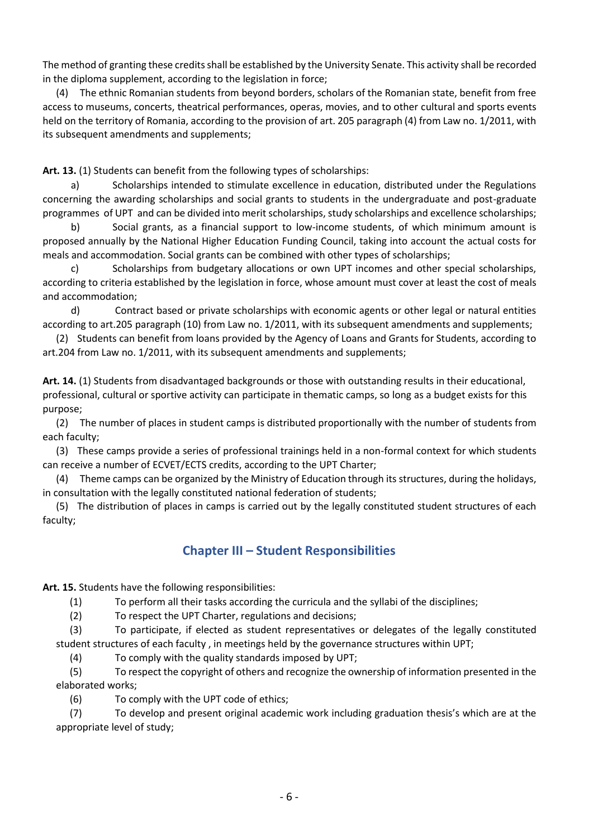The method of granting these credits shall be established by the University Senate. This activity shall be recorded in the diploma supplement, according to the legislation in force;

(4) The ethnic Romanian students from beyond borders, scholars of the Romanian state, benefit from free access to museums, concerts, theatrical performances, operas, movies, and to other cultural and sports events held on the territory of Romania, according to the provision of art. 205 paragraph (4) from Law no. 1/2011, with its subsequent amendments and supplements;

**Art. 13.** (1) Students can benefit from the following types of scholarships:

a) Scholarships intended to stimulate excellence in education, distributed under the Regulations concerning the awarding scholarships and social grants to students in the undergraduate and post-graduate programmes of UPT and can be divided into merit scholarships, study scholarships and excellence scholarships;

b) Social grants, as a financial support to low-income students, of which minimum amount is proposed annually by the National Higher Education Funding Council, taking into account the actual costs for meals and accommodation. Social grants can be combined with other types of scholarships;

c) Scholarships from budgetary allocations or own UPT incomes and other special scholarships, according to criteria established by the legislation in force, whose amount must cover at least the cost of meals and accommodation;

d) Contract based or private scholarships with economic agents or other legal or natural entities according to art.205 paragraph (10) from Law no. 1/2011, with its subsequent amendments and supplements;

(2) Students can benefit from loans provided by the Agency of Loans and Grants for Students, according to art.204 from Law no. 1/2011, with its subsequent amendments and supplements;

**Art. 14.** (1) Students from disadvantaged backgrounds or those with outstanding results in their educational, professional, cultural or sportive activity can participate in thematic camps, so long as a budget exists for this purpose;

(2) The number of places in student camps is distributed proportionally with the number of students from each faculty;

(3) These camps provide a series of professional trainings held in a non-formal context for which students can receive a number of ECVET/ECTS credits, according to the UPT Charter;

(4) Theme camps can be organized by the Ministry of Education through its structures, during the holidays, in consultation with the legally constituted national federation of students;

(5) The distribution of places in camps is carried out by the legally constituted student structures of each faculty;

### **Chapter III – Student Responsibilities**

**Art. 15.** Students have the following responsibilities:

(1) To perform all their tasks according the curricula and the syllabi of the disciplines;

(2) To respect the UPT Charter, regulations and decisions;

(3) To participate, if elected as student representatives or delegates of the legally constituted student structures of each faculty , in meetings held by the governance structures within UPT;

(4) To comply with the quality standards imposed by UPT;

(5) To respect the copyright of others and recognize the ownership of information presented in the elaborated works;

(6) To comply with the UPT code of ethics;

(7) To develop and present original academic work including graduation thesis's which are at the appropriate level of study;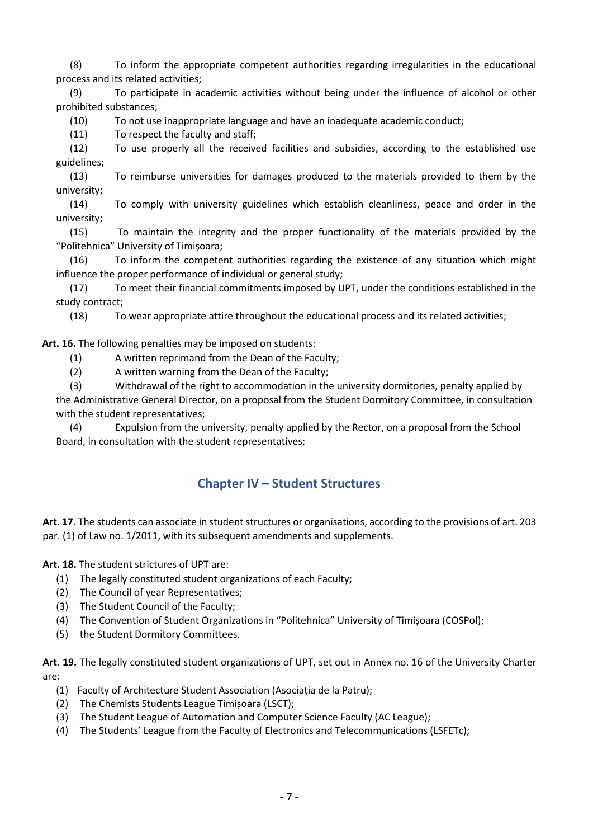(8) To inform the appropriate competent authorities regarding irregularities in the educational process and its related activities;

(9) To participate in academic activities without being under the influence of alcohol or other prohibited substances;

(10) To not use inappropriate language and have an inadequate academic conduct;

(11) To respect the faculty and staff;

(12) To use properly all the received facilities and subsidies, according to the established use guidelines;

(13) To reimburse universities for damages produced to the materials provided to them by the university;

(14) To comply with university guidelines which establish cleanliness, peace and order in the university;

(15) To maintain the integrity and the proper functionality of the materials provided by the "Politehnica" University of Timișoara;

(16) To inform the competent authorities regarding the existence of any situation which might influence the proper performance of individual or general study;

(17) To meet their financial commitments imposed by UPT, under the conditions established in the study contract;

(18) To wear appropriate attire throughout the educational process and its related activities;

**Art. 16.** The following penalties may be imposed on students:

(1) A written reprimand from the Dean of the Faculty;

(2) A written warning from the Dean of the Faculty;

(3) Withdrawal of the right to accommodation in the university dormitories, penalty applied by the Administrative General Director, on a proposal from the Student Dormitory Committee, in consultation with the student representatives;

(4) Expulsion from the university, penalty applied by the Rector, on a proposal from the School Board, in consultation with the student representatives;

# **Chapter IV – Student Structures**

**Art. 17.** The students can associate in student structures or organisations, according to the provisions of art. 203 par. (1) of Law no. 1/2011, with its subsequent amendments and supplements.

**Art. 18.** The student strictures of UPT are:

- (1) The legally constituted student organizations of each Faculty;
- (2) The Council of year Representatives;
- (3) The Student Council of the Faculty;
- (4) The Convention of Student Organizations in "Politehnica" University of Timișoara (COSPol);
- (5) the Student Dormitory Committees.

**Art. 19.** The legally constituted student organizations of UPT, set out in Annex no. 16 of the University Charter are:

- (1) Faculty of Architecture Student Association (Asociația de la Patru);
- (2) The Chemists Students League Timișoara (LSCT);
- (3) The Student League of Automation and Computer Science Faculty (AC League);
- (4) The Students' League from the Faculty of Electronics and Telecommunications (LSFETc);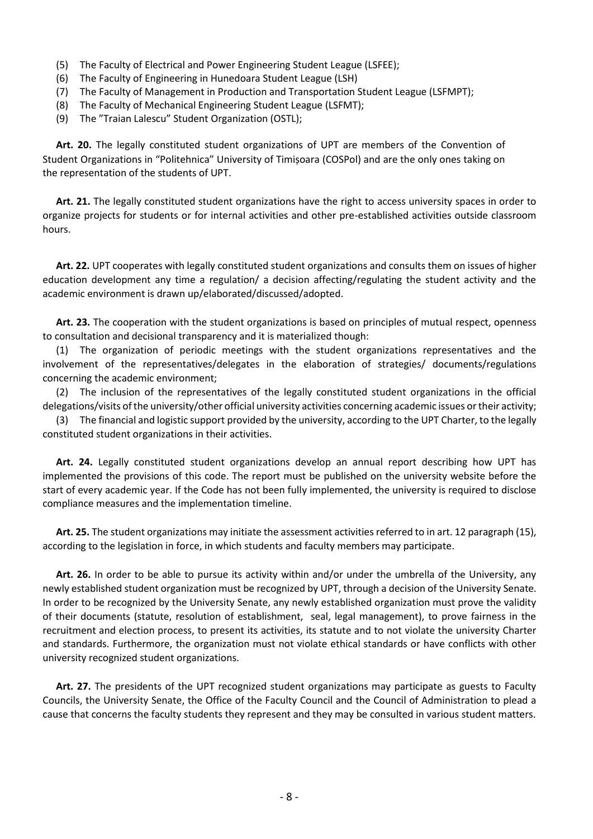- (5) The Faculty of Electrical and Power Engineering Student League (LSFEE);
- (6) The Faculty of Engineering in Hunedoara Student League (LSH)
- (7) The Faculty of Management in Production and Transportation Student League (LSFMPT);
- (8) The Faculty of Mechanical Engineering Student League (LSFMT);
- (9) The "Traian Lalescu" Student Organization (OSTL);

**Art. 20.** The legally constituted student organizations of UPT are members of the Convention of Student Organizations in "Politehnica" University of Timișoara (COSPol) and are the only ones taking on the representation of the students of UPT.

**Art. 21.** The legally constituted student organizations have the right to access university spaces in order to organize projects for students or for internal activities and other pre-established activities outside classroom hours.

**Art. 22.** UPT cooperates with legally constituted student organizations and consults them on issues of higher education development any time a regulation/ a decision affecting/regulating the student activity and the academic environment is drawn up/elaborated/discussed/adopted.

**Art. 23.** The cooperation with the student organizations is based on principles of mutual respect, openness to consultation and decisional transparency and it is materialized though:

(1) The organization of periodic meetings with the student organizations representatives and the involvement of the representatives/delegates in the elaboration of strategies/ documents/regulations concerning the academic environment;

(2) The inclusion of the representatives of the legally constituted student organizations in the official delegations/visits of the university/other official university activities concerning academic issues or their activity;

(3) The financial and logistic support provided by the university, according to the UPT Charter, to the legally constituted student organizations in their activities.

**Art. 24.** Legally constituted student organizations develop an annual report describing how UPT has implemented the provisions of this code. The report must be published on the university website before the start of every academic year. If the Code has not been fully implemented, the university is required to disclose compliance measures and the implementation timeline.

**Art. 25.** The student organizations may initiate the assessment activities referred to in art. 12 paragraph (15), according to the legislation in force, in which students and faculty members may participate.

**Art. 26.** In order to be able to pursue its activity within and/or under the umbrella of the University, any newly established student organization must be recognized by UPT, through a decision of the University Senate. In order to be recognized by the University Senate, any newly established organization must prove the validity of their documents (statute, resolution of establishment, seal, legal management), to prove fairness in the recruitment and election process, to present its activities, its statute and to not violate the university Charter and standards. Furthermore, the organization must not violate ethical standards or have conflicts with other university recognized student organizations.

**Art. 27.** The presidents of the UPT recognized student organizations may participate as guests to Faculty Councils, the University Senate, the Office of the Faculty Council and the Council of Administration to plead a cause that concerns the faculty students they represent and they may be consulted in various student matters.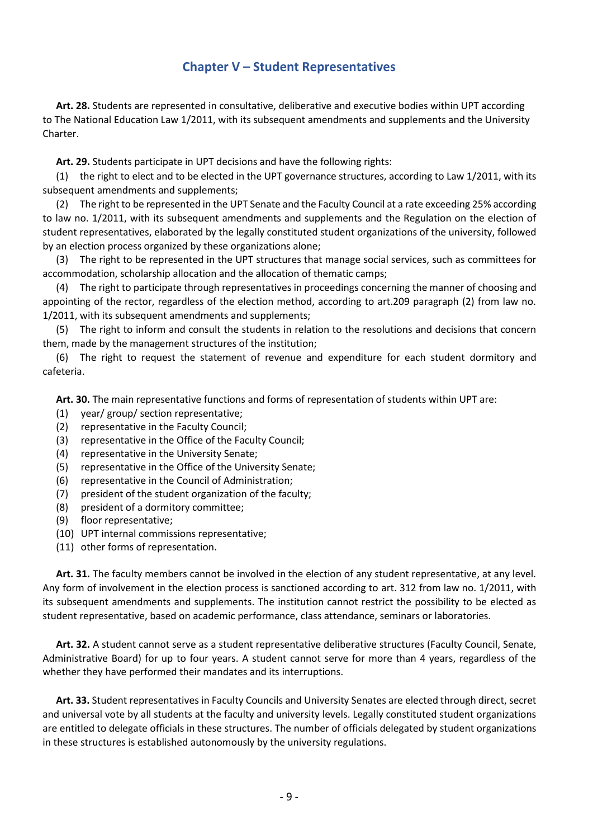### **Chapter V – Student Representatives**

**Art. 28.** Students are represented in consultative, deliberative and executive bodies within UPT according to The National Education Law 1/2011, with its subsequent amendments and supplements and the University Charter.

**Art. 29.** Students participate in UPT decisions and have the following rights:

(1) the right to elect and to be elected in the UPT governance structures, according to Law 1/2011, with its subsequent amendments and supplements;

(2) The right to be represented in the UPT Senate and the Faculty Council at a rate exceeding 25% according to law no. 1/2011, with its subsequent amendments and supplements and the Regulation on the election of student representatives, elaborated by the legally constituted student organizations of the university, followed by an election process organized by these organizations alone;

(3) The right to be represented in the UPT structures that manage social services, such as committees for accommodation, scholarship allocation and the allocation of thematic camps;

(4) The right to participate through representatives in proceedings concerning the manner of choosing and appointing of the rector, regardless of the election method, according to art.209 paragraph (2) from law no. 1/2011, with its subsequent amendments and supplements;

(5) The right to inform and consult the students in relation to the resolutions and decisions that concern them, made by the management structures of the institution;

(6) The right to request the statement of revenue and expenditure for each student dormitory and cafeteria.

**Art. 30.** The main representative functions and forms of representation of students within UPT are:

- (1) year/ group/ section representative;
- (2) representative in the Faculty Council;
- (3) representative in the Office of the Faculty Council;
- (4) representative in the University Senate;
- (5) representative in the Office of the University Senate;
- (6) representative in the Council of Administration;
- (7) president of the student organization of the faculty;
- (8) president of a dormitory committee;
- (9) floor representative;
- (10) UPT internal commissions representative;
- (11) other forms of representation.

**Art. 31.** The faculty members cannot be involved in the election of any student representative, at any level. Any form of involvement in the election process is sanctioned according to art. 312 from law no. 1/2011, with its subsequent amendments and supplements. The institution cannot restrict the possibility to be elected as student representative, based on academic performance, class attendance, seminars or laboratories.

**Art. 32.** A student cannot serve as a student representative deliberative structures (Faculty Council, Senate, Administrative Board) for up to four years. A student cannot serve for more than 4 years, regardless of the whether they have performed their mandates and its interruptions.

**Art. 33.** Student representatives in Faculty Councils and University Senates are elected through direct, secret and universal vote by all students at the faculty and university levels. Legally constituted student organizations are entitled to delegate officials in these structures. The number of officials delegated by student organizations in these structures is established autonomously by the university regulations.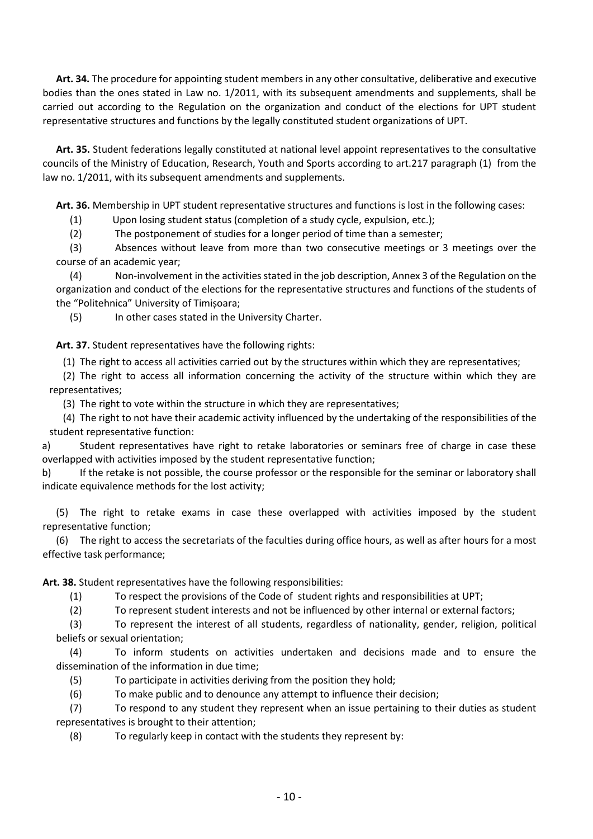**Art. 34.** The procedure for appointing student members in any other consultative, deliberative and executive bodies than the ones stated in Law no. 1/2011, with its subsequent amendments and supplements, shall be carried out according to the Regulation on the organization and conduct of the elections for UPT student representative structures and functions by the legally constituted student organizations of UPT.

**Art. 35.** Student federations legally constituted at national level appoint representatives to the consultative councils of the Ministry of Education, Research, Youth and Sports according to art.217 paragraph (1) from the law no. 1/2011, with its subsequent amendments and supplements.

**Art. 36.** Membership in UPT student representative structures and functions is lost in the following cases:

(1) Upon losing student status (completion of a study cycle, expulsion, etc.);

(2) The postponement of studies for a longer period of time than a semester;

(3) Absences without leave from more than two consecutive meetings or 3 meetings over the course of an academic year;

(4) Non-involvement in the activities stated in the job description, Annex 3 of the Regulation on the organization and conduct of the elections for the representative structures and functions of the students of the "Politehnica" University of Timișoara;

(5) In other cases stated in the University Charter.

**Art. 37.** Student representatives have the following rights:

(1) The right to access all activities carried out by the structures within which they are representatives;

(2) The right to access all information concerning the activity of the structure within which they are representatives;

(3) The right to vote within the structure in which they are representatives;

(4) The right to not have their academic activity influenced by the undertaking of the responsibilities of the student representative function:

a) Student representatives have right to retake laboratories or seminars free of charge in case these overlapped with activities imposed by the student representative function;

b) If the retake is not possible, the course professor or the responsible for the seminar or laboratory shall indicate equivalence methods for the lost activity;

(5) The right to retake exams in case these overlapped with activities imposed by the student representative function;

(6) The right to access the secretariats of the faculties during office hours, as well as after hours for a most effective task performance;

**Art. 38.** Student representatives have the following responsibilities:

(1) To respect the provisions of the Code of student rights and responsibilities at UPT;

(2) To represent student interests and not be influenced by other internal or external factors;

(3) To represent the interest of all students, regardless of nationality, gender, religion, political beliefs or sexual orientation;

(4) To inform students on activities undertaken and decisions made and to ensure the dissemination of the information in due time;

(5) To participate in activities deriving from the position they hold;

(6) To make public and to denounce any attempt to influence their decision;

(7) To respond to any student they represent when an issue pertaining to their duties as student representatives is brought to their attention;

(8) To regularly keep in contact with the students they represent by: